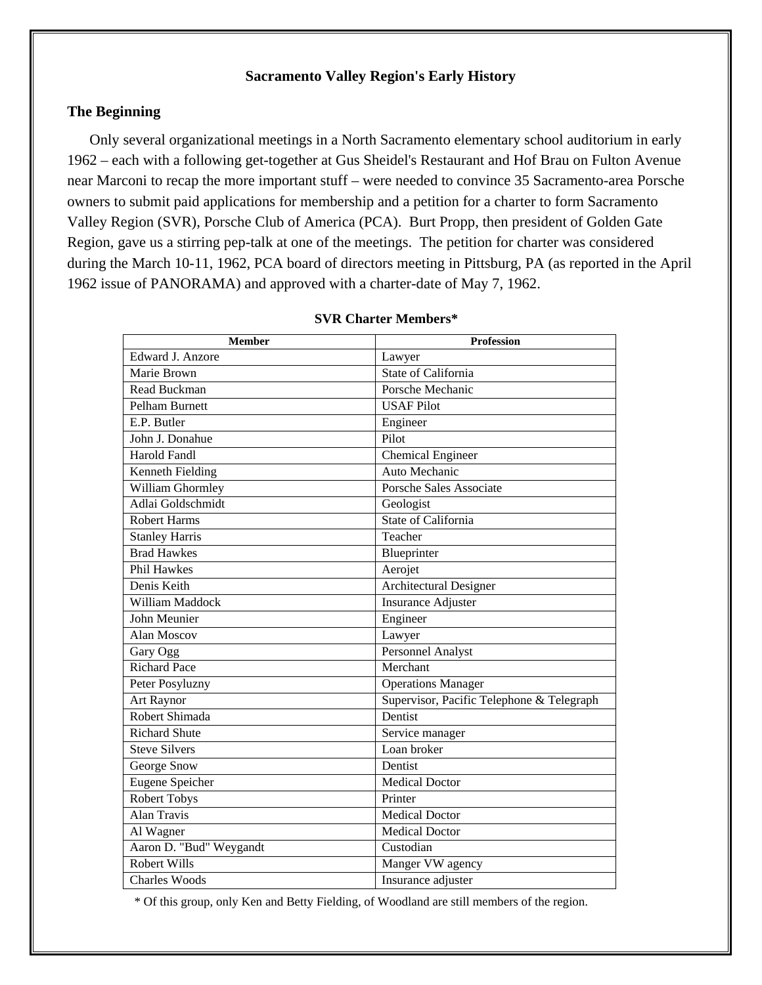# **Sacramento Valley Region's Early History**

# **The Beginning**

Only several organizational meetings in a North Sacramento elementary school auditorium in early 1962 – each with a following get-together at Gus Sheidel's Restaurant and Hof Brau on Fulton Avenue near Marconi to recap the more important stuff – were needed to convince 35 Sacramento-area Porsche owners to submit paid applications for membership and a petition for a charter to form Sacramento Valley Region (SVR), Porsche Club of America (PCA). Burt Propp, then president of Golden Gate Region, gave us a stirring pep-talk at one of the meetings. The petition for charter was considered during the March 10-11, 1962, PCA board of directors meeting in Pittsburg, PA (as reported in the April 1962 issue of PANORAMA) and approved with a charter-date of May 7, 1962.

| <b>Member</b>           | <b>Profession</b>                         |
|-------------------------|-------------------------------------------|
| Edward J. Anzore        | Lawyer                                    |
| Marie Brown             | <b>State of California</b>                |
| Read Buckman            | Porsche Mechanic                          |
| Pelham Burnett          | <b>USAF Pilot</b>                         |
| E.P. Butler             | Engineer                                  |
| John J. Donahue         | Pilot                                     |
| <b>Harold Fandl</b>     | <b>Chemical Engineer</b>                  |
| Kenneth Fielding        | Auto Mechanic                             |
| William Ghormley        | <b>Porsche Sales Associate</b>            |
| Adlai Goldschmidt       | Geologist                                 |
| <b>Robert Harms</b>     | State of California                       |
| <b>Stanley Harris</b>   | Teacher                                   |
| <b>Brad Hawkes</b>      | Blueprinter                               |
| <b>Phil Hawkes</b>      | Aerojet                                   |
| Denis Keith             | Architectural Designer                    |
| William Maddock         | <b>Insurance Adjuster</b>                 |
| John Meunier            | Engineer                                  |
| Alan Moscov             | Lawyer                                    |
| Gary Ogg                | <b>Personnel Analyst</b>                  |
| <b>Richard Pace</b>     | Merchant                                  |
| Peter Posyluzny         | <b>Operations Manager</b>                 |
| Art Raynor              | Supervisor, Pacific Telephone & Telegraph |
| Robert Shimada          | Dentist                                   |
| <b>Richard Shute</b>    | Service manager                           |
| <b>Steve Silvers</b>    | Loan broker                               |
| George Snow             | Dentist                                   |
| <b>Eugene Speicher</b>  | Medical Doctor                            |
| <b>Robert Tobys</b>     | Printer                                   |
| <b>Alan Travis</b>      | <b>Medical Doctor</b>                     |
| Al Wagner               | <b>Medical Doctor</b>                     |
| Aaron D. "Bud" Weygandt | Custodian                                 |
| <b>Robert Wills</b>     | Manger VW agency                          |
| <b>Charles Woods</b>    | Insurance adjuster                        |

## **SVR Charter Members\***

\* Of this group, only Ken and Betty Fielding, of Woodland are still members of the region.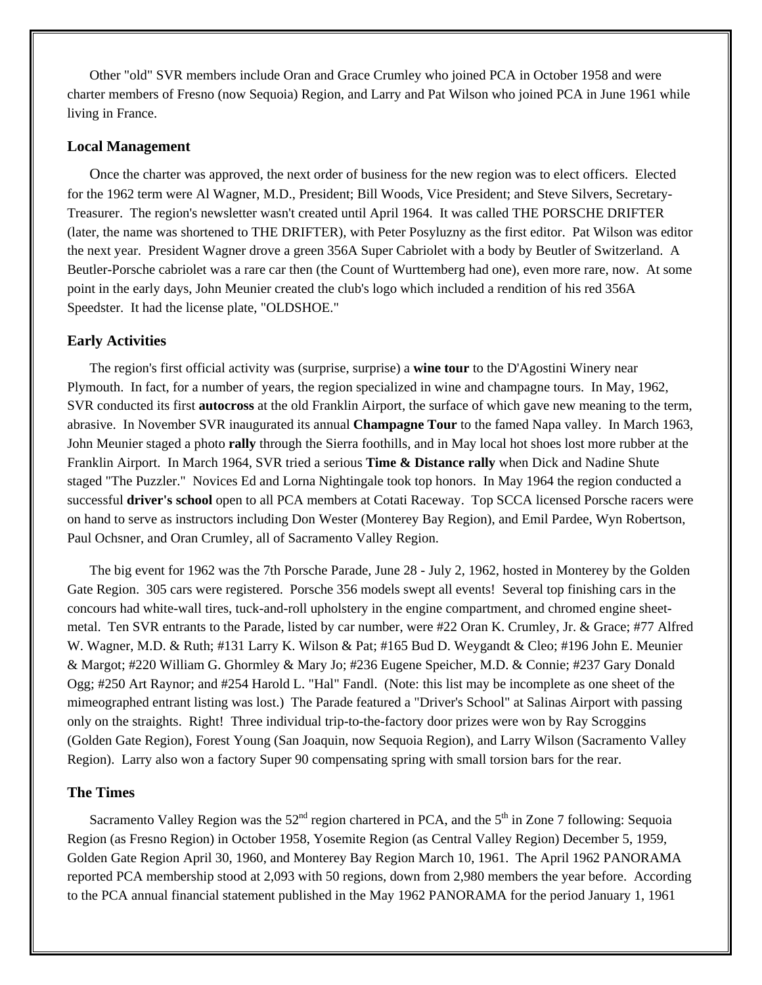Other "old" SVR members include Oran and Grace Crumley who joined PCA in October 1958 and were charter members of Fresno (now Sequoia) Region, and Larry and Pat Wilson who joined PCA in June 1961 while living in France.

## **Local Management**

Once the charter was approved, the next order of business for the new region was to elect officers. Elected for the 1962 term were Al Wagner, M.D., President; Bill Woods, Vice President; and Steve Silvers, Secretary-Treasurer. The region's newsletter wasn't created until April 1964. It was called THE PORSCHE DRIFTER (later, the name was shortened to THE DRIFTER), with Peter Posyluzny as the first editor. Pat Wilson was editor the next year. President Wagner drove a green 356A Super Cabriolet with a body by Beutler of Switzerland. A Beutler-Porsche cabriolet was a rare car then (the Count of Wurttemberg had one), even more rare, now. At some point in the early days, John Meunier created the club's logo which included a rendition of his red 356A Speedster. It had the license plate, "OLDSHOE."

### **Early Activities**

The region's first official activity was (surprise, surprise) a **wine tour** to the D'Agostini Winery near Plymouth. In fact, for a number of years, the region specialized in wine and champagne tours. In May, 1962, SVR conducted its first **autocross** at the old Franklin Airport, the surface of which gave new meaning to the term, abrasive. In November SVR inaugurated its annual **Champagne Tour** to the famed Napa valley. In March 1963, John Meunier staged a photo **rally** through the Sierra foothills, and in May local hot shoes lost more rubber at the Franklin Airport. In March 1964, SVR tried a serious **Time & Distance rally** when Dick and Nadine Shute staged "The Puzzler." Novices Ed and Lorna Nightingale took top honors. In May 1964 the region conducted a successful **driver's school** open to all PCA members at Cotati Raceway. Top SCCA licensed Porsche racers were on hand to serve as instructors including Don Wester (Monterey Bay Region), and Emil Pardee, Wyn Robertson, Paul Ochsner, and Oran Crumley, all of Sacramento Valley Region.

The big event for 1962 was the 7th Porsche Parade, June 28 - July 2, 1962, hosted in Monterey by the Golden Gate Region. 305 cars were registered. Porsche 356 models swept all events! Several top finishing cars in the concours had white-wall tires, tuck-and-roll upholstery in the engine compartment, and chromed engine sheetmetal. Ten SVR entrants to the Parade, listed by car number, were #22 Oran K. Crumley, Jr. & Grace; #77 Alfred W. Wagner, M.D. & Ruth; #131 Larry K. Wilson & Pat; #165 Bud D. Weygandt & Cleo; #196 John E. Meunier & Margot; #220 William G. Ghormley & Mary Jo; #236 Eugene Speicher, M.D. & Connie; #237 Gary Donald Ogg; #250 Art Raynor; and #254 Harold L. "Hal" Fandl. (Note: this list may be incomplete as one sheet of the mimeographed entrant listing was lost.) The Parade featured a "Driver's School" at Salinas Airport with passing only on the straights. Right! Three individual trip-to-the-factory door prizes were won by Ray Scroggins (Golden Gate Region), Forest Young (San Joaquin, now Sequoia Region), and Larry Wilson (Sacramento Valley Region). Larry also won a factory Super 90 compensating spring with small torsion bars for the rear.

### **The Times**

Sacramento Valley Region was the  $52<sup>nd</sup>$  region chartered in PCA, and the  $5<sup>th</sup>$  in Zone 7 following: Sequoia Region (as Fresno Region) in October 1958, Yosemite Region (as Central Valley Region) December 5, 1959, Golden Gate Region April 30, 1960, and Monterey Bay Region March 10, 1961. The April 1962 PANORAMA reported PCA membership stood at 2,093 with 50 regions, down from 2,980 members the year before. According to the PCA annual financial statement published in the May 1962 PANORAMA for the period January 1, 1961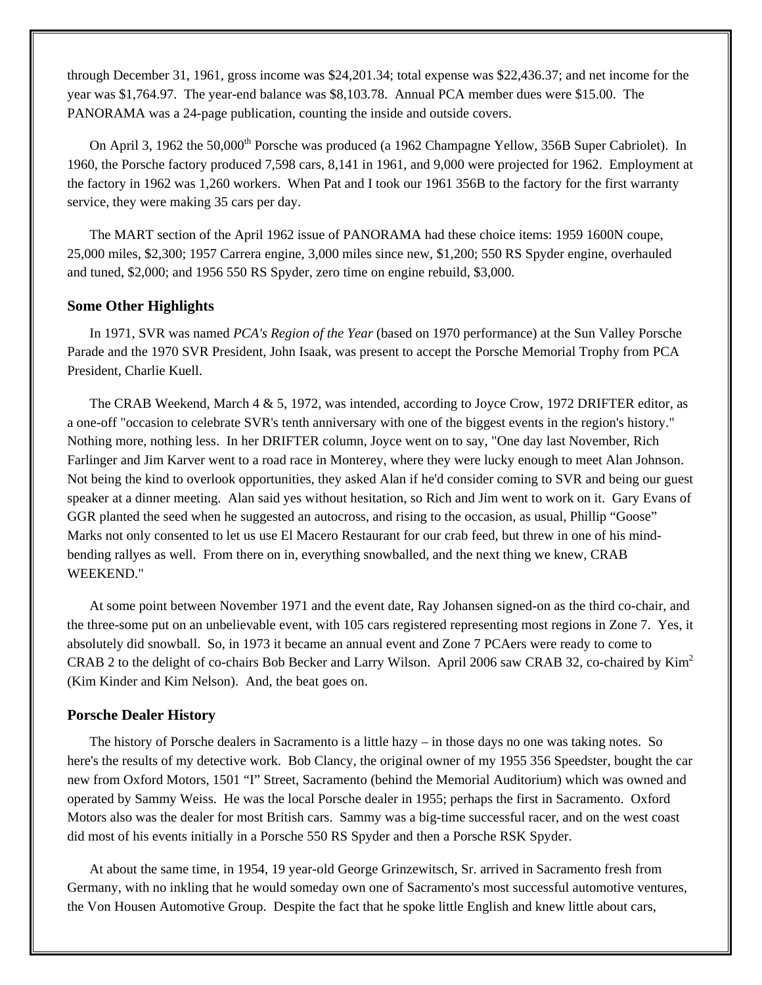through December 31, 1961, gross income was \$24,201.34; total expense was \$22,436.37; and net income for the year was \$1,764.97. The year-end balance was \$8,103.78. Annual PCA member dues were \$15.00. The PANORAMA was a 24-page publication, counting the inside and outside covers.

On April 3, 1962 the 50,000<sup>th</sup> Porsche was produced (a 1962 Champagne Yellow, 356B Super Cabriolet). In 1960, the Porsche factory produced 7,598 cars, 8,141 in 1961, and 9,000 were projected for 1962. Employment at the factory in 1962 was 1,260 workers. When Pat and I took our 1961 356B to the factory for the first warranty service, they were making 35 cars per day.

The MART section of the April 1962 issue of PANORAMA had these choice items: 1959 1600N coupe, 25,000 miles, \$2,300; 1957 Carrera engine, 3,000 miles since new, \$1,200; 550 RS Spyder engine, overhauled and tuned, \$2,000; and 1956 550 RS Spyder, zero time on engine rebuild, \$3,000.

### **Some Other Highlights**

In 1971, SVR was named *PCA's Region of the Year* (based on 1970 performance) at the Sun Valley Porsche Parade and the 1970 SVR President, John Isaak, was present to accept the Porsche Memorial Trophy from PCA President, Charlie Kuell.

The CRAB Weekend, March 4 & 5, 1972, was intended, according to Joyce Crow, 1972 DRIFTER editor, as a one-off "occasion to celebrate SVR's tenth anniversary with one of the biggest events in the region's history." Nothing more, nothing less. In her DRIFTER column, Joyce went on to say, "One day last November, Rich Farlinger and Jim Karver went to a road race in Monterey, where they were lucky enough to meet Alan Johnson. Not being the kind to overlook opportunities, they asked Alan if he'd consider coming to SVR and being our guest speaker at a dinner meeting. Alan said yes without hesitation, so Rich and Jim went to work on it. Gary Evans of GGR planted the seed when he suggested an autocross, and rising to the occasion, as usual, Phillip "Goose" Marks not only consented to let us use El Macero Restaurant for our crab feed, but threw in one of his mindbending rallyes as well. From there on in, everything snowballed, and the next thing we knew, CRAB WEEKEND."

At some point between November 1971 and the event date, Ray Johansen signed-on as the third co-chair, and the three-some put on an unbelievable event, with 105 cars registered representing most regions in Zone 7. Yes, it absolutely did snowball. So, in 1973 it became an annual event and Zone 7 PCAers were ready to come to CRAB 2 to the delight of co-chairs Bob Becker and Larry Wilson. April 2006 saw CRAB 32, co-chaired by Kim<sup>2</sup> (Kim Kinder and Kim Nelson). And, the beat goes on.

#### **Porsche Dealer History**

The history of Porsche dealers in Sacramento is a little hazy – in those days no one was taking notes. So here's the results of my detective work. Bob Clancy, the original owner of my 1955 356 Speedster, bought the car new from Oxford Motors, 1501 "I" Street, Sacramento (behind the Memorial Auditorium) which was owned and operated by Sammy Weiss. He was the local Porsche dealer in 1955; perhaps the first in Sacramento. Oxford Motors also was the dealer for most British cars. Sammy was a big-time successful racer, and on the west coast did most of his events initially in a Porsche 550 RS Spyder and then a Porsche RSK Spyder.

At about the same time, in 1954, 19 year-old George Grinzewitsch, Sr. arrived in Sacramento fresh from Germany, with no inkling that he would someday own one of Sacramento's most successful automotive ventures, the Von Housen Automotive Group. Despite the fact that he spoke little English and knew little about cars,